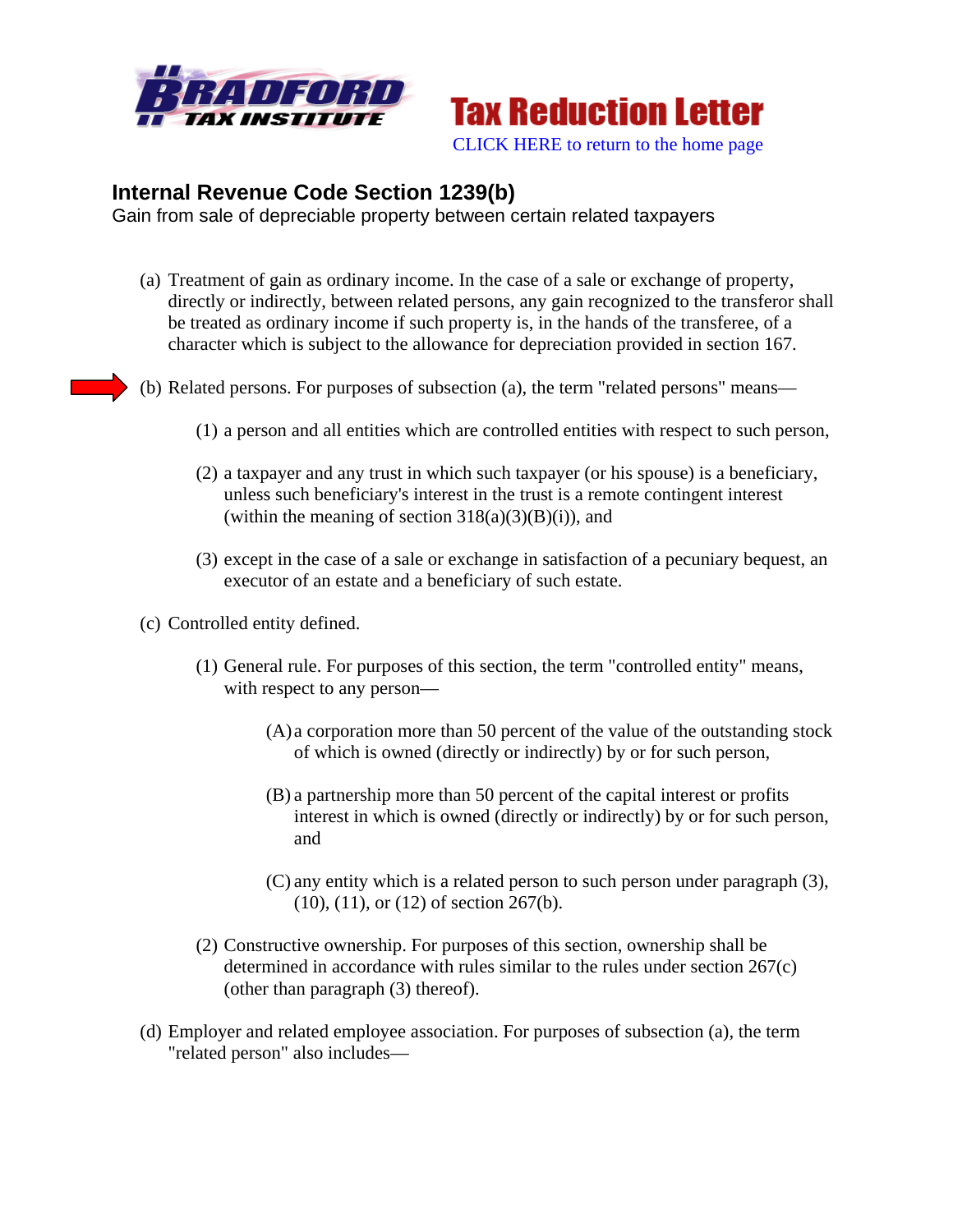



## **Internal Revenue Code Section 1239(b)**

Gain from sale of depreciable property between certain related taxpayers

- (a) Treatment of gain as ordinary income. In the case of a sale or exchange of property, directly or indirectly, between related persons, any gain recognized to the transferor shall be treated as ordinary income if such property is, in the hands of the transferee, of a character which is subject to the allowance for depreciation provided in section 167.
- (b) Related persons. For purposes of subsection (a), the term "related persons" means—
	- (1) a person and all entities which are controlled entities with respect to such person,
	- (2) a taxpayer and any trust in which such taxpayer (or his spouse) is a beneficiary, unless such beneficiary's interest in the trust is a remote contingent interest (within the meaning of section  $318(a)(3)(B)(i)$ ), and
	- (3) except in the case of a sale or exchange in satisfaction of a pecuniary bequest, an executor of an estate and a beneficiary of such estate.
- (c) Controlled entity defined.
	- (1) General rule. For purposes of this section, the term "controlled entity" means, with respect to any person—
		- (A) a corporation more than 50 percent of the value of the outstanding stock of which is owned (directly or indirectly) by or for such person,
		- (B) a partnership more than 50 percent of the capital interest or profits interest in which is owned (directly or indirectly) by or for such person, and
		- (C) any entity which is a related person to such person under paragraph (3), (10), (11), or (12) of section 267(b).
	- (2) Constructive ownership. For purposes of this section, ownership shall be determined in accordance with rules similar to the rules under section 267(c) (other than paragraph (3) thereof).
- (d) Employer and related employee association. For purposes of subsection (a), the term "related person" also includes—